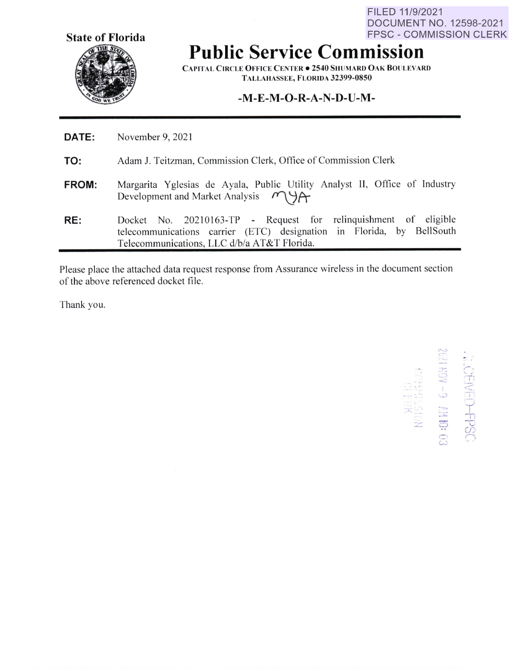**State of Florida** 

FILED 11/9/2021 DOCUMENT NO. 12598-2021 FPSC - COMMISSION CLERK

## **Public Service Commission**

**CAPITAL CIRCLE OFFICE CENTER • 2540 SHUMARD OAK BOllLEVARD TALLAHASSEE, FLORIDA 32399-0850** 

## **-M-E-M-O-R-A-N-D-U-M-**

| <b>DATE:</b> | November 9, 2021                                                                                                                                                                        |
|--------------|-----------------------------------------------------------------------------------------------------------------------------------------------------------------------------------------|
| TO:          | Adam J. Teitzman, Commission Clerk, Office of Commission Clerk                                                                                                                          |
| <b>FROM:</b> | Margarita Yglesias de Ayala, Public Utility Analyst II, Office of Industry<br>Development and Market Analysis $M\rightarrow\gamma$                                                      |
| RE:          | Docket No. 20210163-TP - Request for relinguishment of eligible<br>telecommunications carrier (ETC) designation in Florida, by BellSouth<br>Telecommunications, LLC d/b/a AT&T Florida. |

Please place the attached data request response from Assurance wireless in the document section of the above referenced docket file.

Thank you.

 $.5<sub>1</sub>$  $\frac{1}{\pi}$ **NHEISSIDA**<br>HOISSINH  $\leq$  $\circ$ C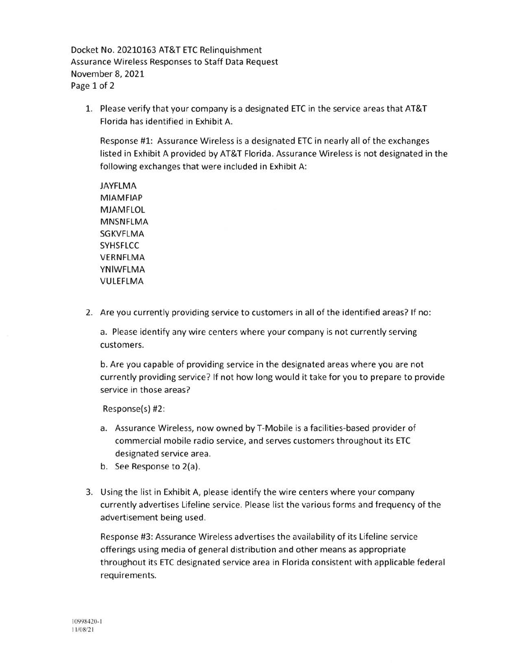Docket No. 20210163 AT&T ETC Relinquishment Assurance Wireless Responses to Staff Data Request November 8, 2021 Page 1 of 2

1. Please verify that your company is a designated ETC in the service areas that AT&T Florida has identified in Exhibit A.

Response #1: Assurance Wireless is a designated ETC in nearly all of the exchanges listed in Exhibit A provided by AT&T Florida. Assurance Wireless is not designated in the following exchanges that were included in Exhibit A:

**JAYFLMA MIAMFIAP MJAMFLOL MNSNFLMA**  SGKVFLMA **SYHSFLCC VERNFLMA YNIWFLMA**  VULEFLMA

2. Are you currently providing service to customers in all of the identified areas? If no:

a. Please identify any wire centers where your company is not currently serving customers.

b. Are you capable of providing service in the designated areas where you are not currently providing service? If not how long would it take for you to prepare to provide service in those areas?

Response(s) #2:

- a. Assurance Wireless, now owned by T-Mobile is a facilities-based provider of commercial mobile radio service, and serves customers throughout its ETC designated service area.
- b. See Response to 2(a).
- 3. Using the list in Exhibit A, please identify the wire centers where your company currently advertises Lifeline service. Please list the various forms and frequency of the advertisement being used.

Response #3: Assurance Wireless advertises the availability of its Lifeline service offerings using media of general distribution and other means as appropriate throughout its ETC designated service area in Florida consistent with applicable federal requirements.